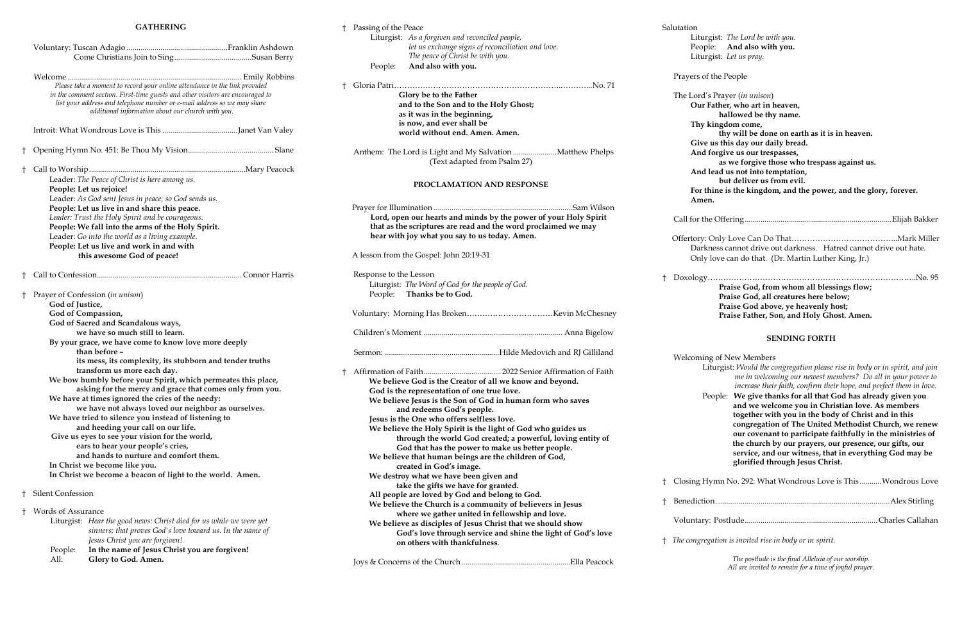#### **GATHERING**

|                                                                                                                                                                                                                                                                                                                                                                                                                                                                                                                                                                                                                                                                                                                                                                                                                                                                                                  | Please take a moment to record your online attendance in the link provided<br>in the comment section. First-time guests and other visitors are encouraged to<br>list your address and telephone number or e-mail address so we may share<br>additional information about our church with you.                                               |  |  |  |
|--------------------------------------------------------------------------------------------------------------------------------------------------------------------------------------------------------------------------------------------------------------------------------------------------------------------------------------------------------------------------------------------------------------------------------------------------------------------------------------------------------------------------------------------------------------------------------------------------------------------------------------------------------------------------------------------------------------------------------------------------------------------------------------------------------------------------------------------------------------------------------------------------|---------------------------------------------------------------------------------------------------------------------------------------------------------------------------------------------------------------------------------------------------------------------------------------------------------------------------------------------|--|--|--|
|                                                                                                                                                                                                                                                                                                                                                                                                                                                                                                                                                                                                                                                                                                                                                                                                                                                                                                  |                                                                                                                                                                                                                                                                                                                                             |  |  |  |
| t                                                                                                                                                                                                                                                                                                                                                                                                                                                                                                                                                                                                                                                                                                                                                                                                                                                                                                |                                                                                                                                                                                                                                                                                                                                             |  |  |  |
| Ť                                                                                                                                                                                                                                                                                                                                                                                                                                                                                                                                                                                                                                                                                                                                                                                                                                                                                                | Leader: The Peace of Christ is here among us.<br>People: Let us rejoice!<br>Leader: As God sent Jesus in peace, so God sends us.<br>People: Let us live in and share this peace.<br>Leader: Trust the Holy Spirit and be courageous.<br>People: We fall into the arms of the Holy Spirit.<br>Leader: Go into the world as a living example. |  |  |  |
|                                                                                                                                                                                                                                                                                                                                                                                                                                                                                                                                                                                                                                                                                                                                                                                                                                                                                                  | People: Let us live and work in and with<br>this awesome God of peace!                                                                                                                                                                                                                                                                      |  |  |  |
| ŧ                                                                                                                                                                                                                                                                                                                                                                                                                                                                                                                                                                                                                                                                                                                                                                                                                                                                                                |                                                                                                                                                                                                                                                                                                                                             |  |  |  |
| t<br>Prayer of Confession (in unison)<br>God of Justice,<br>God of Compassion,<br>God of Sacred and Scandalous ways,<br>we have so much still to learn.<br>By your grace, we have come to know love more deeply<br>than before -<br>its mess, its complexity, its stubborn and tender truths<br>transform us more each day.<br>We bow humbly before your Spirit, which permeates this place,<br>asking for the mercy and grace that comes only from you.<br>We have at times ignored the cries of the needy:<br>we have not always loved our neighbor as ourselves.<br>We have tried to silence you instead of listening to<br>and heeding your call on our life.<br>Give us eyes to see your vision for the world,<br>ears to hear your people's cries,<br>and hands to nurture and comfort them.<br>In Christ we become like you.<br>In Christ we become a beacon of light to the world. Amen. |                                                                                                                                                                                                                                                                                                                                             |  |  |  |
| Ť                                                                                                                                                                                                                                                                                                                                                                                                                                                                                                                                                                                                                                                                                                                                                                                                                                                                                                | Silent Confession                                                                                                                                                                                                                                                                                                                           |  |  |  |
| Ť                                                                                                                                                                                                                                                                                                                                                                                                                                                                                                                                                                                                                                                                                                                                                                                                                                                                                                | Words of Assurance<br>Liturgist: Hear the good news: Christ died for us while we were yet<br>sinners; that proves God's love toward us. In the name of<br>Jesus Christ you are forgiven!<br>In the name of Jesus Christ you are forgiven!<br>People:<br>Glory to God. Amen.<br>All:                                                         |  |  |  |

Prayer (*in unison*) **Our Father, who art in heaven, hallowed be thy name. Thy kingdom come, thy will be done on earth as it is in heaven. Give us this day our daily bread. And forgive us our trespasses, as we forgive those who trespass against us. And lead us not into temptation, but deliver us from evil. For thine is the kingdom, and the power, and the glory, forever.** 

Call for the Offering..........................................................................Elijah Bakker Only Love Can Do That…………………………………………Mark Miller ess cannot drive out darkness. Hatred cannot drive out hate.

love can do that. (Dr. Martin Luther King, Jr.)

ople: We give thanks for all that God has already given you  **and we welcome you in Christian love. As members together with you in the body of Christ and in this congregation of The United Methodist Church, we renew our covenant to participate faithfully in the ministries of the church by our prayers, our presence, our gifts, our service, and our witness, that in everything God may be glorified through Jesus Christ.**

<sup>7</sup> mn No. 292: What Wondrous Love is This ...........Wondrous Love

|   | † Passing of the Peace |                                                                  |   | Salutation   |
|---|------------------------|------------------------------------------------------------------|---|--------------|
|   |                        | Liturgist: As a forgiven and reconciled people,                  |   | Liturgi      |
|   |                        | let us exchange signs of reconciliation and love.                |   | People       |
|   |                        | The peace of Christ be with you.                                 |   | Liturgi      |
|   | People:                | And also with you.                                               |   |              |
|   |                        |                                                                  |   | Prayers of t |
| t |                        |                                                                  |   |              |
|   |                        | Glory be to the Father                                           |   | The Lord's   |
|   |                        | and to the Son and to the Holy Ghost;                            |   | Our Fa       |
|   |                        | as it was in the beginning,                                      |   |              |
|   |                        | is now, and ever shall be                                        |   | Thy ki       |
|   |                        | world without end. Amen. Amen.                                   |   |              |
|   |                        |                                                                  |   | Give u       |
|   |                        | Anthem: The Lord is Light and My Salvation Matthew Phelps        |   | And fo       |
|   |                        | (Text adapted from Psalm 27)                                     |   |              |
|   |                        |                                                                  |   | And le       |
|   |                        | PROCLAMATION AND RESPONSE                                        |   |              |
|   |                        |                                                                  |   | For thi      |
|   |                        |                                                                  |   | Amen.        |
|   |                        | Lord, open our hearts and minds by the power of your Holy Spirit |   |              |
|   |                        | that as the scriptures are read and the word proclaimed we may   |   | Call for the |
|   |                        | hear with joy what you say to us today. Amen.                    |   |              |
|   |                        |                                                                  |   | Offertory: O |
|   |                        | A lesson from the Gospel: John 20:19-31                          |   | Darkne       |
|   |                        |                                                                  |   | Only lo      |
|   | Response to the Lesson |                                                                  |   |              |
|   |                        | Liturgist: The Word of God for the people of God.                |   | Doxology     |
|   | People:                | Thanks be to God.                                                |   |              |
|   |                        |                                                                  |   |              |
|   |                        |                                                                  |   |              |
|   |                        |                                                                  |   |              |
|   |                        |                                                                  |   |              |
|   |                        |                                                                  |   |              |
|   |                        |                                                                  |   |              |
|   |                        |                                                                  |   | Welcoming    |
|   |                        |                                                                  |   | Litt         |
|   |                        | We believe God is the Creator of all we know and beyond.         |   |              |
|   |                        | God is the representation of one true love.                      |   |              |
|   |                        | We believe Jesus is the Son of God in human form who saves       |   | Pec          |
|   |                        | and redeems God's people.                                        |   |              |
|   |                        | Jesus is the One who offers selfless love.                       |   |              |
|   |                        | We believe the Holy Spirit is the light of God who guides us     |   |              |
|   |                        | through the world God created; a powerful, loving entity of      |   |              |
|   |                        | God that has the power to make us better people.                 |   |              |
|   |                        | We believe that human beings are the children of God,            |   |              |
|   |                        | created in God's image.                                          |   |              |
|   |                        | We destroy what we have been given and                           |   |              |
|   |                        | take the gifts we have for granted.                              | Ť | Closing Hy   |
|   |                        | All people are loved by God and belong to God.                   |   |              |
|   |                        | We believe the Church is a community of believers in Jesus       | t | Benediction  |
|   |                        | where we gather united in fellowship and love.                   |   |              |
|   |                        | We believe as disciples of Jesus Christ that we should show      |   | Voluntary:   |
|   |                        | God's love through service and shine the light of God's love     |   |              |
|   |                        | on others with thankfulness.                                     | Ť | The congrega |
|   |                        |                                                                  |   |              |
|   |                        |                                                                  |   |              |

ist: *The Lord be with you.* e: **And also with you.** ist: Let us pray.

the People

† Doxology……………………………………………………………………..No. 95 **Praise God, from whom all blessings flow; Praise God, all creatures here below; Praise God above, ye heavenly host; Praise Father, Son, and Holy Ghost. Amen.**

#### **SENDING FORTH**

of New Members

 Liturgist: *Would the congregation please rise in body or in spirit, and join me in welcoming our newest members? Do all in your power to increase their faith, confirm their hope, and perfect them in love.* 

† Benediction........................................................................................Alex Stirling

Voluntary: Postlude................................................................... Charles Callahan

† *The congregation is invited rise in body or in spirit.*

*The postlude is the final Alleluia of our worship. All are invited to remain for a time of joyful prayer.*